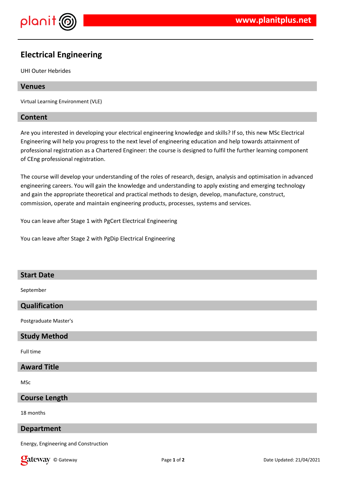

# **Electrical Engineering**

UHI Outer Hebrides

## **Venues**

Virtual Learning Environment (VLE)

## **Content**

Are you interested in developing your electrical engineering knowledge and skills? If so, this new MSc Electrical Engineering will help you progress to the next level of engineering education and help towards attainment of professional registration as a Chartered Engineer: the course is designed to fulfil the further learning component of CEng professional registration.

The course will develop your understanding of the roles of research, design, analysis and optimisation in advanced engineering careers. You will gain the knowledge and understanding to apply existing and emerging technology and gain the appropriate theoretical and practical methods to design, develop, manufacture, construct, commission, operate and maintain engineering products, processes, systems and services.

You can leave after Stage 1 with PgCert Electrical Engineering

You can leave after Stage 2 with PgDip Electrical Engineering

## **Start Date**

September

## **Qualification**

Postgraduate Master's

## **Study Method**

Full time

## **Award Title**

MSc

#### **Course Length**

18 months

#### **Department**

Energy, Engineering and Construction

**Call EXECUTE:** Page 1 of 2 Page 1 of 2 Date Updated: 21/04/2021